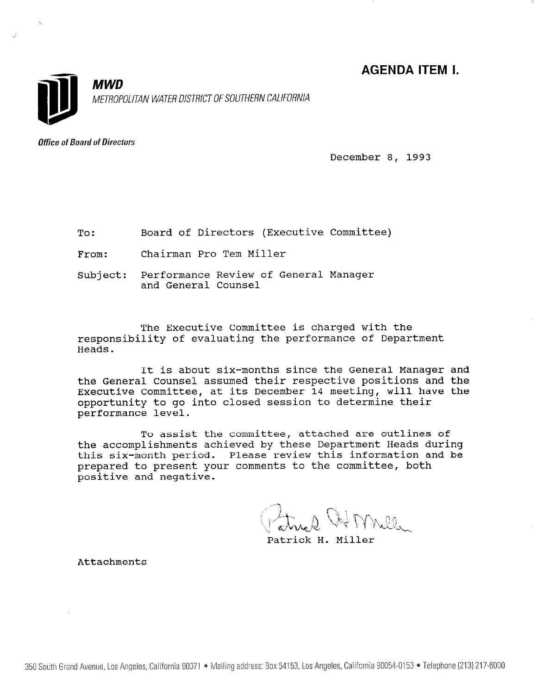# AGENDA ITEM I.



Office of Board of Directors

December 8, 1993

To: Board of Directors (Executive Committee)

From: Chairman Pro Tem Miller

Subject: Performance Review of General Manager and General Counsel

The Executive Committee is charged with the responsibility of evaluating the performance of Department Heads.

It is about six-months since the General Manager and the General Counsel assumed their respective positions and the Executive Committee, at its December 14 meeting, will have the opportunity to go into closed session to determine their opportanicy co g<br>nerformance leve

To assist the committee, attached are outlines of the accomplishments achieved by these Department Heads during this six-month period. Please review this information and be prepared to present your comments to the committee, both positive and negative.

Patrick H. Miller

Attachments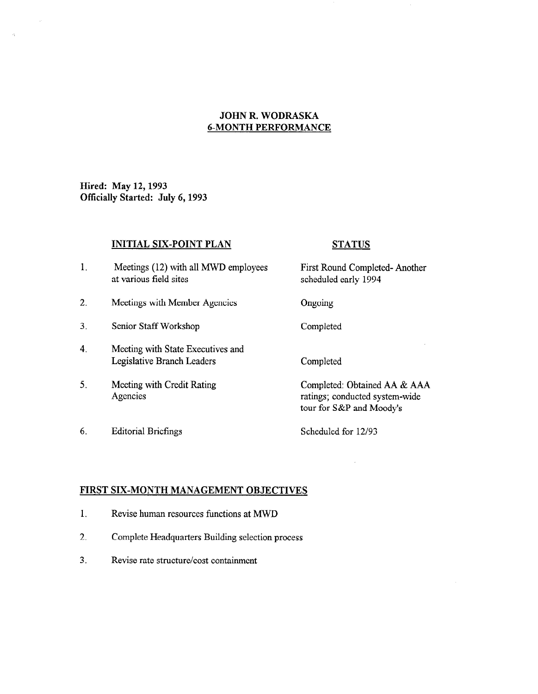## JOHN R. WODRASKA 6-MONTH PERFORMANCE

Hired: May 12,1993 Officially Started: July 6, 1993

 $\hat{\phi}$ 

## **INITIAL SIX-POINT PLAN** STATUS

- 1. Meetings (12) with all MWD employees First Round Completed-Another at various field sites scheduled early 1994
- 2. Meetings with Member Agencies Ongoing
- 3. Senior Staff Workshop Completed
- 4. Meeting with State Executives and Legislative Branch Leaders Completed
- 5. Meeting with Credit Rating Agencies
- 6. Editorial Briefings Scheduled for 12/93

Completed: Obtained AA & AAA ratings; conducted system-wide tour for S&P and Moody's

## FIRST SIX-MONTH MANAGEMENT OBJECTIVES

- 1. Revise human resources functions at MWD
- 2. Complete Headquarters Building selection process
- 3. Revise rate structure/cost containment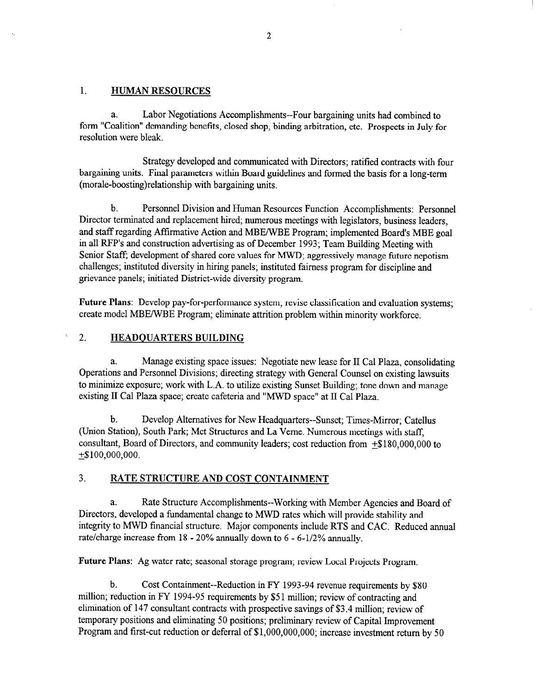## 1. HUMAN RESOURCES

a. Labor Negotiations Accomplishments--Four bargaining units had combined to form "Coalition" demanding benefits, closed shop, binding arbitration, etc. Prospects in July for resolution were bleak.

Strategy developed and communicated with Directors; ratified contracts with four bargaining units. Final parameters within Board guidelines and formed the basis for a long-term (morale-boosting)relationship with bargaining units.

b. Personnel Division and Human Resources Function Accomplishments: Personnel Director terminated and replacement hired; numerous meetings with legislators, business leaders, and staff regarding Affirmative Action and MBE/WBE Program; implemented Board's MBE goal in all RFP's and construction advertising as of December 1993; Team Building Meeting with Senior Staff; development of shared core values for MWD; aggressively manage future nepotism challenges; instituted diversity in hiring panels; instituted fairness program for discipline and grievance panels; initiated District-wide diversity program.

Future Plans: Develop pay-for-performance system; revise classification and evaluation systems; create model MBEWBE Program; eliminate attrition problem within minority workforce.

## 2. HEADQUARTERS BUILDING

a. Manage existing space issues: Negotiate new lease for II Cal Plaza, consolidating Operations and Personnel Divisions; directing strategy with General Counsel on existing lawsuits to minimize exposure; work with L.A. to utilize existing Sunset Building; tone down and manage existing II Cal Plaza space; create cafeteria and "MWD space" at II Cal Plaza.

b. Develop Alternatives for New Headquarters--Sunset; Times-Mirror; Catellus (Union Station), South Park; Met Structures and La Verne. Numerous meetings with staff, consultant, Board of Directors, and community leaders; cost reduction from +\$180,000,000 to  $\pm$ \$100,000,000.

## 3. RATE STRUCTURE AND COST CONTAINMENT

a. Rate Structure Accomplishments--Working with Member Agencies and Board of Directors, developed a fundamental change to MWD rates which will provide stability and integrity to MWD financial structure. Major components include RTS and CAC. Reduced annual rate/charge increase from 18 - 20% annually down to 6 - 6-l/2% annually.

Future Plans: Ag water rate; seasonal storage program; review Local Projects Program.

b. Cost Containment--Reduction in FY 1993-94 revenue requirements by \$80 million; reduction in FY 1994-95 requirements by \$51 million; review of contracting and elimination of 147 consultant contracts with prospective savings of \$3.4 million; review of temporary positions and eliminating 50 positions; preliminary review of Capital Improvement Program and first-cut reduction or deferral of \$1,000,000,000; increase investment return by 50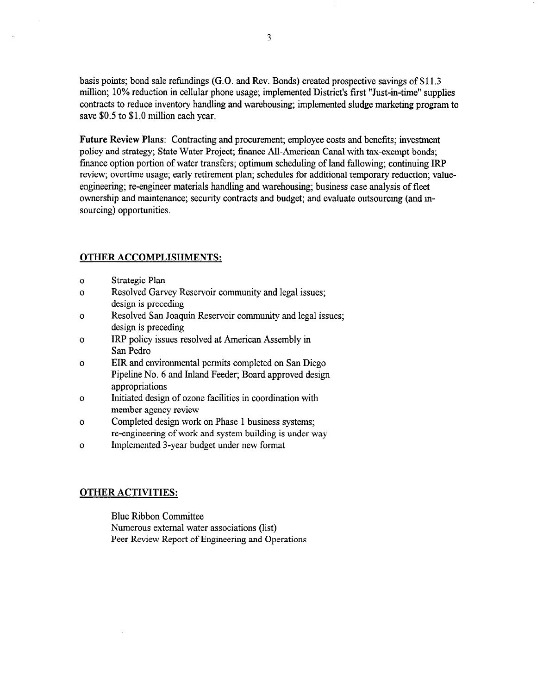basis points; bond sale refundings (G.O. and Rev. Bonds) created prospective savings of \$11.3 million; 10% reduction in cellular phone usage; implemented District's first "Just-in-time" supplies contracts to reduce inventory handling and warehousing; implemented sludge marketing program to save \$0.5 to \$1.0 million each year.

Future Review Plans: Contracting and procurement; employee costs and benefits; investment policy and strategy; State Water Project; finance All-American Canal with tax-exempt bonds; finance option portion of water transfers; optimum scheduling of land fallowing; continuing IRP review; overtime usage; early retirement plan; schedules for additional temporary reduction; valueengineering; re-engineer materials handling and warehousing; business case analysis of fleet ownership and maintenance; security contracts and budget; and evaluate outsourcing (and insourcing) opportunities.

## OTHER ACCOMPLISHMENTS:

- Strategic Plan  $\Omega$
- Resolved Garvey Reservoir community and legal issues;  $\Omega$ design is preceding
- Resolved San Joaquin Reservoir community and legal issues;  $\mathbf{o}$ design is preceding
- IRP policy issues resolved at American Assembly in  $\mathbf{o}$ San Pedro
- EIR and environmental permits completed on San Diego  $\mathbf{o}$ Pipeline No. 6 and Inland Feeder; Board approved design appropriations
- $\mathbf{o}$ Initiated design of ozone facilities in coordination with member agency review
- $\mathbf{o}$ Completed design work on Phase 1 business systems; re-engineering of work and system building is under way
- $\Omega$ Implemented 3-year budget under new format

## OTHER ACTIVITIES:

Blue Ribbon Committee Numerous external water associations (list) Peer Review Report of Engineering and Operations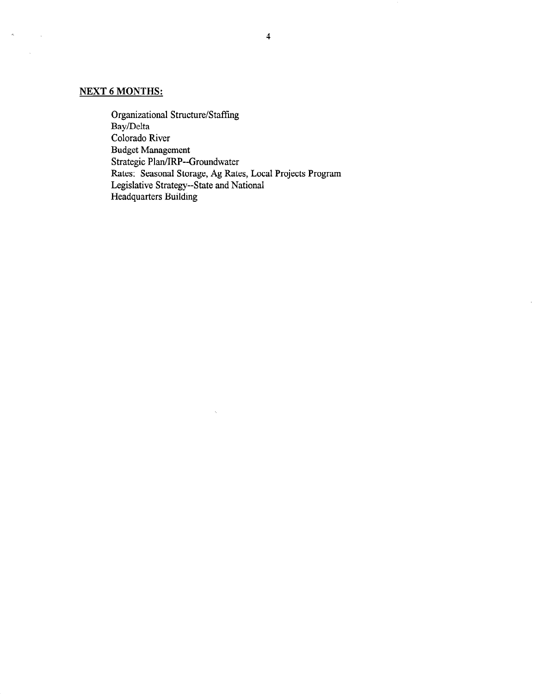# NEXT 6 MONTHS:

 $\langle \theta_{\rm{r}} \rangle = 1$ 

 $\sim 10^6$ 

 $\sim$   $\sim$ 

Organizational Structure/Staffing Bay/Delta Colorado River Budget Management Strategic Plan/IRP--Groundwater Rates: Seasonal Storage, Ag Rates, Local Projects Program Legislative Strategy--State and National Headquarters Building

L.

 $\bar{1}$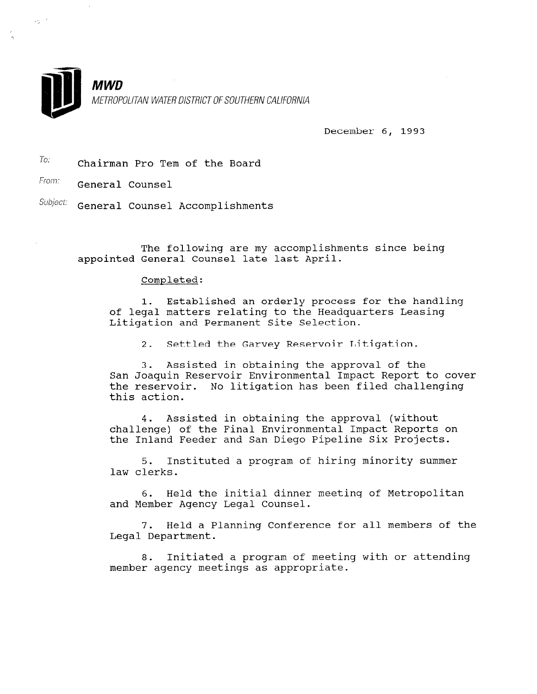

December 6, 1993

 $T$ o: Chairman Pro Tem of the Board

From: General Counsel

 $\omega_{\rm c}$  ,  $\tau$ 

Subject: General Counsel Accomplishments

The following are my accomplishments since being appointed General Counsel late last April.

Completed:

1. Established an orderly process for the handling of legal matters relating to the Headquarters Leasing Litigation and Permanent Site Selection.

2. Settled the Garvey Reservoir Litigation.

3. Assisted in obtaining the approval of the San Joaquin Reservoir Environmental Impact Report to cover the reservoir. No litigation has been filed challenging this action.

4. Assisted in obtaining the approval (without challenge) of the Final Environmental Impact Reports on the Inland Feeder and San Diego Pipeline Six Projects.

5. Instituted a program of hiring minority summer law clerks.

6. Held the initial dinner meeting of Metropolitan and Member Agency Legal Counsel.

7. Held a Planning Conference for all members of the Legal Department.

8. Initiated a program of meeting with or attending member agency meetings as appropriate.